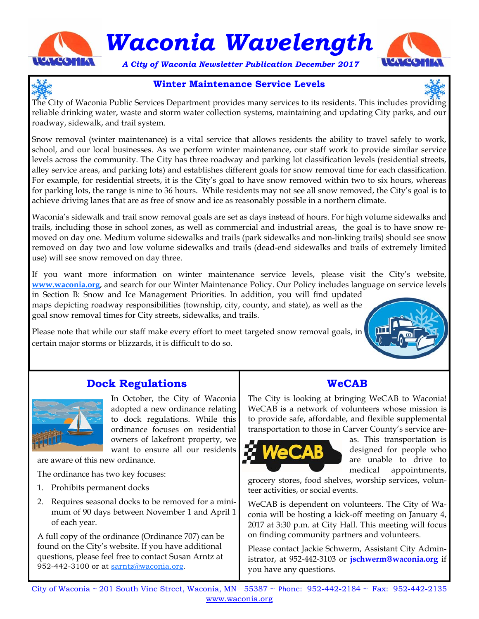

## *Waconia Wavelength*

A City of Waconia Newsletter Publication December 2017

# TUVCO

#### **Winter Maintenance Service Levels**



The City of Waconia Public Services Department provides many services to its residents. This includes providing reliable drinking water, waste and storm water collection systems, maintaining and updating City parks, and our roadway, sidewalk, and trail system.

Snow removal (winter maintenance) is a vital service that allows residents the ability to travel safely to work, school, and our local businesses. As we perform winter maintenance, our staff work to provide similar service levels across the community. The City has three roadway and parking lot classification levels (residential streets, alley service areas, and parking lots) and establishes different goals for snow removal time for each classification. For example, for residential streets, it is the City's goal to have snow removed within two to six hours, whereas for parking lots, the range is nine to 36 hours. While residents may not see all snow removed, the City's goal is to achieve driving lanes that are as free of snow and ice as reasonably possible in a northern climate.

Waconia's sidewalk and trail snow removal goals are set as days instead of hours. For high volume sidewalks and trails, including those in school zones, as well as commercial and industrial areas, the goal is to have snow removed on day one. Medium volume sidewalks and trails (park sidewalks and non-linking trails) should see snow removed on day two and low volume sidewalks and trails (dead-end sidewalks and trails of extremely limited use) will see snow removed on day three.

If you want more information on winter maintenance service levels, please visit the City's website, **www.waconia.org**, and search for our Winter Maintenance Policy. Our Policy includes language on service levels in Section B: Snow and Ice Management Priorities. In addition, you will find updated

maps depicting roadway responsibilities (township, city, county, and state), as well as the goal snow removal times for City streets, sidewalks, and trails.

Please note that while our staff make every effort to meet targeted snow removal goals, in certain major storms or blizzards, it is difficult to do so.



### **Dock Regulations**



In October, the City of Waconia adopted a new ordinance relating to dock regulations. While this ordinance focuses on residential owners of lakefront property, we want to ensure all our residents

are aware of this new ordinance.

The ordinance has two key focuses:

- 1. Prohibits permanent docks
- 2. Requires seasonal docks to be removed for a minimum of 90 days between November 1 and April 1 of each year.

A full copy of the ordinance (Ordinance 707) can be found on the City's website. If you have additional questions, please feel free to contact Susan Arntz at 952-442-3100 or at sarntz@waconia.org.

### **WeCAB**

The City is looking at bringing WeCAB to Waconia! WeCAB is a network of volunteers whose mission is to provide safe, affordable, and flexible supplemental transportation to those in Carver County's service are-



as. This transportation is designed for people who are unable to drive to medical appointments,

grocery stores, food shelves, worship services, volunteer activities, or social events.

WeCAB is dependent on volunteers. The City of Waconia will be hosting a kick-off meeting on January 4, 2017 at 3:30 p.m. at City Hall. This meeting will focus on finding community partners and volunteers.

Please contact Jackie Schwerm, Assistant City Administrator, at 952-442-3103 or **jschwerm@waconia.org** if you have any questions.

City of Waconia ~ 201 South Vine Street, Waconia, MN 55387 ~ Phone: 952-442-2184 ~ Fax: 952-442-2135 www.waconia.org